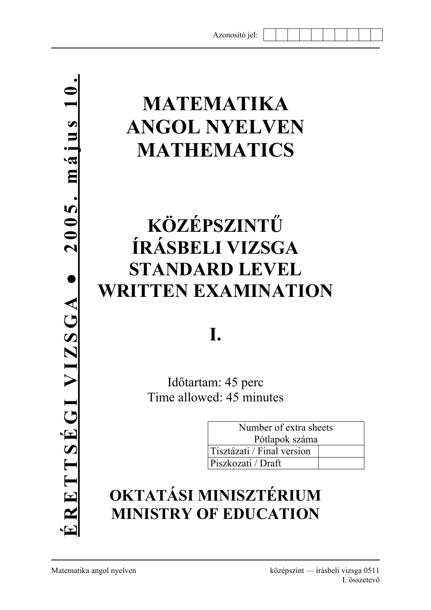| Azonosító jel: |
|----------------|
|----------------|

# **MATEMATIKA ANGOL NYELVEN MATHEMATICS**

## **KÖZÉPSZINTŰ ÍRÁSBELI VIZSGA STANDARD LEVEL WRITTEN EXAMINATION**

## **I.**

Időtartam: 45 perc Time allowed: 45 minutes

| Number of extra sheets     |  |
|----------------------------|--|
| Pótlapok száma             |  |
| Tisztázati / Final version |  |
| Piszkozati / Draft         |  |

### **OKTATÁSI MINISZTÉRIUM MINISTRY OF EDUCATION**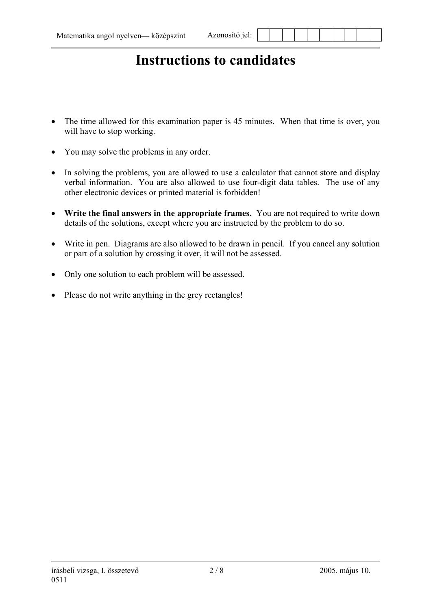### **Instructions to candidates**

- The time allowed for this examination paper is 45 minutes. When that time is over, you will have to stop working.
- You may solve the problems in any order.
- In solving the problems, you are allowed to use a calculator that cannot store and display verbal information. You are also allowed to use four-digit data tables. The use of any other electronic devices or printed material is forbidden!
- **Write the final answers in the appropriate frames.** You are not required to write down details of the solutions, except where you are instructed by the problem to do so.
- Write in pen. Diagrams are also allowed to be drawn in pencil. If you cancel any solution or part of a solution by crossing it over, it will not be assessed.
- Only one solution to each problem will be assessed.
- Please do not write anything in the grey rectangles!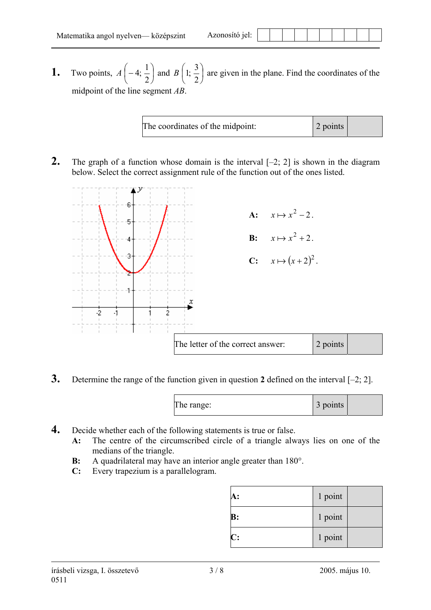**1.** Two points,  $A\left(-4; \frac{1}{2}\right)$ J  $\left(-4;\frac{1}{2}\right)$  $\setminus$  $A\left(-4;\frac{1}{2}\right)$  and  $B\left(1;\frac{3}{2}\right)$ J  $\left(1;\frac{3}{2}\right)$  $\setminus$ ſ 2  $B\left(1;\frac{3}{2}\right)$  are given in the plane. Find the coordinates of the midpoint of the line segment *AB*.

| The coordinates of the midpoint: | 2 points |  |
|----------------------------------|----------|--|
|----------------------------------|----------|--|

**2.** The graph of a function whose domain is the interval  $[-2, 2]$  is shown in the diagram below. Select the correct assignment rule of the function out of the ones listed.



**3.** Determine the range of the function given in question **2** defined on the interval [–2; 2].

| The range:<br>3 points |
|------------------------|
|------------------------|

- **4.** Decide whether each of the following statements is true or false.
	- **A:** The centre of the circumscribed circle of a triangle always lies on one of the medians of the triangle.
	- **B:** A quadrilateral may have an interior angle greater than 180°.
	- **C:** Every trapezium is a parallelogram.

|    | 1 point |  |
|----|---------|--|
| B: | 1 point |  |
|    | 1 point |  |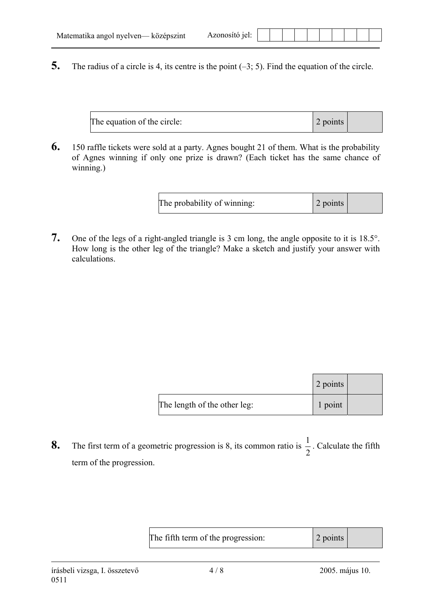**5.** The radius of a circle is 4, its centre is the point  $(-3, 5)$ . Find the equation of the circle.

| The equation of the circle: | 2 points |  |
|-----------------------------|----------|--|
|-----------------------------|----------|--|

**6.** 150 raffle tickets were sold at a party. Agnes bought 21 of them. What is the probability of Agnes winning if only one prize is drawn? (Each ticket has the same chance of winning.)

| The probability of winning: | 2 points |  |
|-----------------------------|----------|--|
|-----------------------------|----------|--|

**7.** One of the legs of a right-angled triangle is 3 cm long, the angle opposite to it is 18.5°. How long is the other leg of the triangle? Make a sketch and justify your answer with calculations.

|                              | 2 points |  |
|------------------------------|----------|--|
| The length of the other leg: | 1 point  |  |

**8.** The first term of a geometric progression is 8, its common ratio is 2  $\frac{1}{2}$ . Calculate the fifth term of the progression.

| 2 points<br>The fifth term of the progression: |
|------------------------------------------------|
|------------------------------------------------|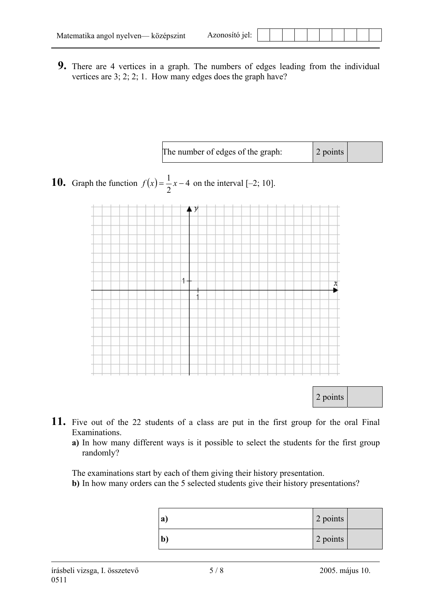**9.** There are 4 vertices in a graph. The numbers of edges leading from the individual vertices are 3; 2; 2; 1. How many edges does the graph have?



- **11.** Five out of the 22 students of a class are put in the first group for the oral Final Examinations.
	- **a)** In how many different ways is it possible to select the students for the first group randomly?

The examinations start by each of them giving their history presentation.

**b)** In how many orders can the 5 selected students give their history presentations?

| a  | 2 points |  |
|----|----------|--|
| IJ | 2 points |  |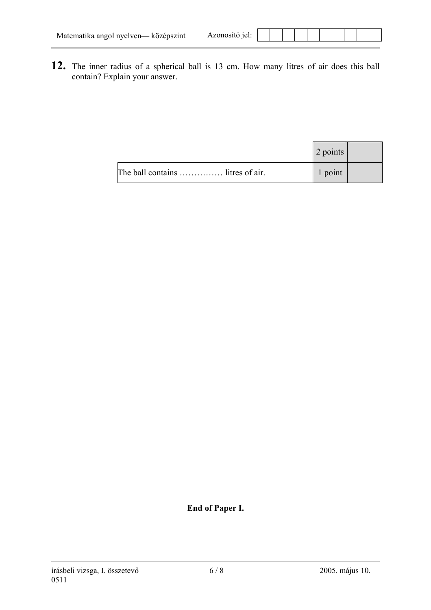| zonosító jel: |  |
|---------------|--|
|               |  |

**12.** The inner radius of a spherical ball is 13 cm. How many litres of air does this ball contain? Explain your answer.

|                                   | 2 points |  |
|-----------------------------------|----------|--|
| The ball contains  litres of air. | 1 point  |  |

**End of Paper I.**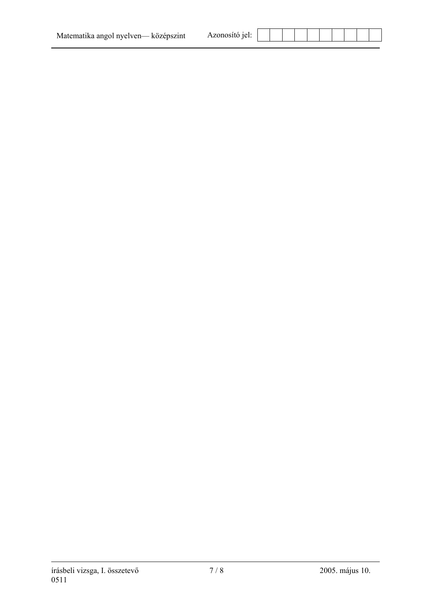| Matematika angol nyelven— középszint | $\mathfrak{t}$ Azonosító jel: $\vert \vert \vert \vert \vert \vert \vert \vert \vert \vert \vert \vert \vert \vert \vert \vert$ |  |  |  |  |  |
|--------------------------------------|---------------------------------------------------------------------------------------------------------------------------------|--|--|--|--|--|
|                                      |                                                                                                                                 |  |  |  |  |  |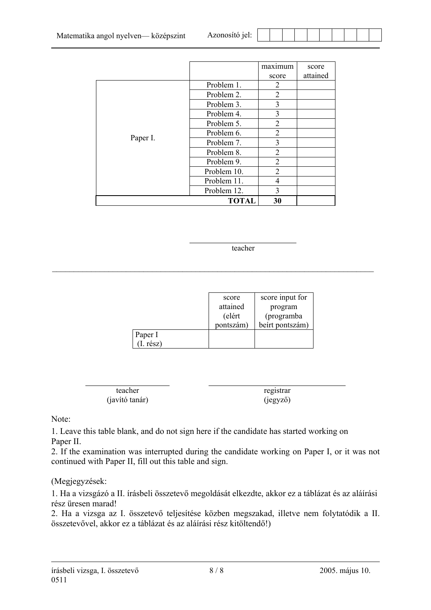| Matematika angol nyelven— középszint | Azonosító jel: |  |  |  |  |  |  |  |  |  |
|--------------------------------------|----------------|--|--|--|--|--|--|--|--|--|
|--------------------------------------|----------------|--|--|--|--|--|--|--|--|--|

|          |              | maximum        | score    |
|----------|--------------|----------------|----------|
|          |              | score          | attained |
|          | Problem 1.   | 2              |          |
|          | Problem 2.   | 2              |          |
|          | Problem 3.   | 3              |          |
|          | Problem 4.   | 3              |          |
|          | Problem 5.   | $\overline{2}$ |          |
|          | Problem 6.   | $\overline{2}$ |          |
| Paper I. | Problem 7.   | 3              |          |
|          | Problem 8.   | $\overline{2}$ |          |
|          | Problem 9.   | $\overline{2}$ |          |
|          | Problem 10.  | $\overline{2}$ |          |
|          | Problem 11.  | 4              |          |
|          | Problem 12.  | 3              |          |
|          | <b>TOTAL</b> | 30             |          |

teacher

|          | score     | score input for |
|----------|-----------|-----------------|
|          | attained  | program         |
|          | (elért    | (programba      |
|          | pontszám) | beírt pontszám) |
| Paper I  |           |                 |
| I. rész) |           |                 |

 $\mathcal{L}_\text{max} = \frac{1}{2} \sum_{i=1}^n \mathcal{L}_\text{max}(\mathbf{z}_i - \mathbf{z}_i)$ 

teacher (javító tanár)

registrar (jegyző)

Note:

1. Leave this table blank, and do not sign here if the candidate has started working on Paper II.

2. If the examination was interrupted during the candidate working on Paper I, or it was not continued with Paper II, fill out this table and sign.

(Megjegyzések:

1. Ha a vizsgázó a II. írásbeli összetevő megoldását elkezdte, akkor ez a táblázat és az aláírási rész üresen marad!

2. Ha a vizsga az I. összetevő teljesítése közben megszakad, illetve nem folytatódik a II. összetevővel, akkor ez a táblázat és az aláírási rész kitöltendő!)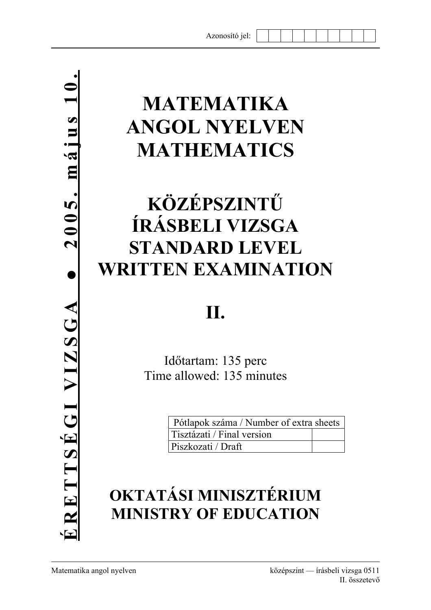| Azonosító jel: |  |
|----------------|--|
|----------------|--|

# **MATEMATIKA ANGOL NYELVEN MATHEMATICS**

# **KÖZÉPSZINTŰ ÍRÁSBELI VIZSGA STANDARD LEVEL WRITTEN EXAMINATION**

## **II.**

Időtartam: 135 perc Time allowed: 135 minutes

| Pótlapok száma / Number of extra sheets |  |  |  |  |  |  |
|-----------------------------------------|--|--|--|--|--|--|
| Tisztázati / Final version              |  |  |  |  |  |  |
| Piszkozati / Draft                      |  |  |  |  |  |  |

### **OKTATÁSI MINISZTÉRIUM MINISTRY OF EDUCATION**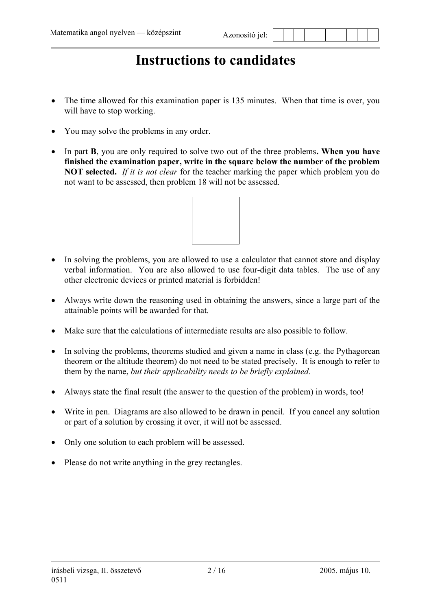### **Instructions to candidates**

- The time allowed for this examination paper is 135 minutes. When that time is over, you will have to stop working.
- You may solve the problems in any order.
- In part **B**, you are only required to solve two out of the three problems**. When you have finished the examination paper, write in the square below the number of the problem NOT selected.** *If it is not clear* for the teacher marking the paper which problem you do not want to be assessed, then problem 18 will not be assessed.



- In solving the problems, you are allowed to use a calculator that cannot store and display verbal information. You are also allowed to use four-digit data tables. The use of any other electronic devices or printed material is forbidden!
- Always write down the reasoning used in obtaining the answers, since a large part of the attainable points will be awarded for that.
- Make sure that the calculations of intermediate results are also possible to follow.
- In solving the problems, theorems studied and given a name in class (e.g. the Pythagorean theorem or the altitude theorem) do not need to be stated precisely. It is enough to refer to them by the name, *but their applicability needs to be briefly explained.*
- Always state the final result (the answer to the question of the problem) in words, too!
- Write in pen. Diagrams are also allowed to be drawn in pencil. If you cancel any solution or part of a solution by crossing it over, it will not be assessed.
- Only one solution to each problem will be assessed.
- Please do not write anything in the grey rectangles.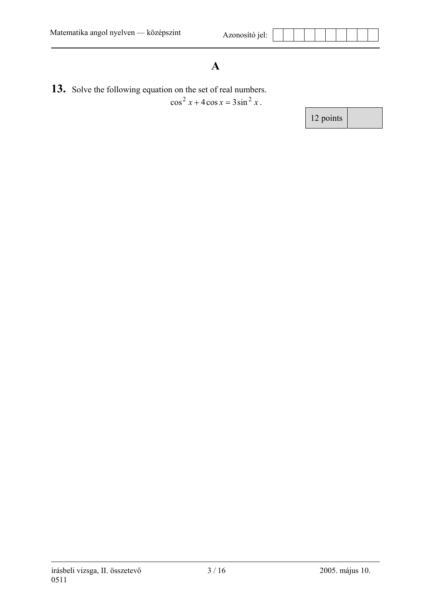#### **A**

**13.** Solve the following equation on the set of real numbers.  $\cos^2 x + 4\cos x = 3\sin^2 x$ .

12 points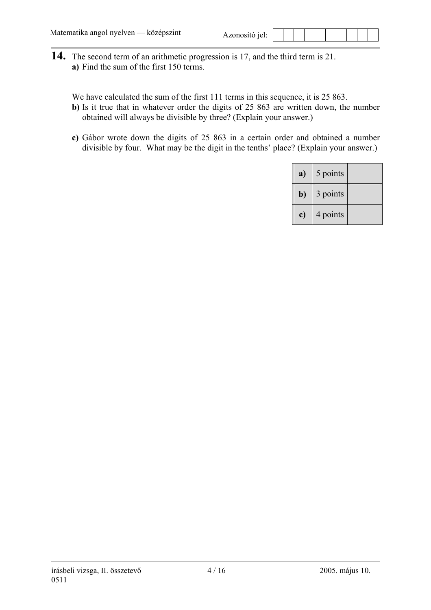**14.** The second term of an arithmetic progression is 17, and the third term is 21. **a)** Find the sum of the first 150 terms.

We have calculated the sum of the first 111 terms in this sequence, it is 25 863.

- **b**) Is it true that in whatever order the digits of 25 863 are written down, the number obtained will always be divisible by three? (Explain your answer.)
- **c)** Gábor wrote down the digits of 25 863 in a certain order and obtained a number divisible by four. What may be the digit in the tenths' place? (Explain your answer.)

| a)            | 5 points |  |
|---------------|----------|--|
| b)            | 3 points |  |
| $\mathbf{c})$ | 4 points |  |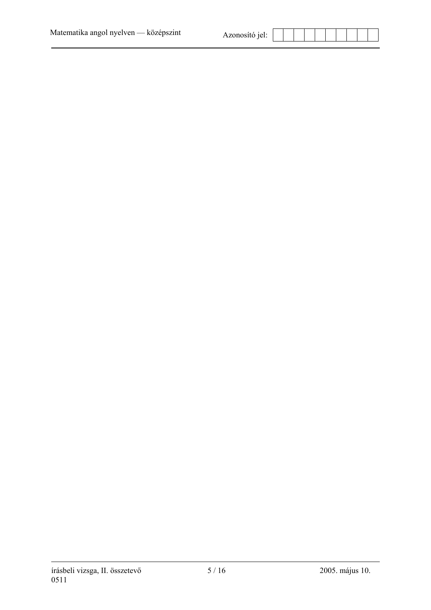| Matematika angol nyelven — középszint | Azonosító jel: |  |  |  |  |  |
|---------------------------------------|----------------|--|--|--|--|--|
|                                       |                |  |  |  |  |  |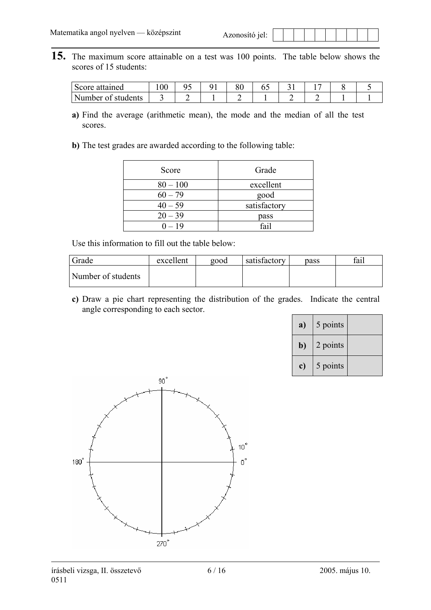| Score attained     | $00\,$ |  | υv | ັ | ັ |  |  |
|--------------------|--------|--|----|---|---|--|--|
| Number of students | -      |  |    |   |   |  |  |

- **a)** Find the average (arithmetic mean), the mode and the median of all the test scores.
- **b)** The test grades are awarded according to the following table:

| Score      | Grade        |
|------------|--------------|
| $80 - 100$ | excellent    |
| $60 - 79$  | good         |
| $40 - 59$  | satisfactory |
| $20 - 39$  | pass         |
| $0 - 19$   | fail         |

Use this information to fill out the table below:

| Grade              | excellent | 200d | satisfactory | pass | fail |
|--------------------|-----------|------|--------------|------|------|
| Number of students |           |      |              |      |      |

**c)** Draw a pie chart representing the distribution of the grades. Indicate the central angle corresponding to each sector.

| a)            | 5 points |  |
|---------------|----------|--|
| b)            | 2 points |  |
| $\mathbf{c})$ | 5 points |  |

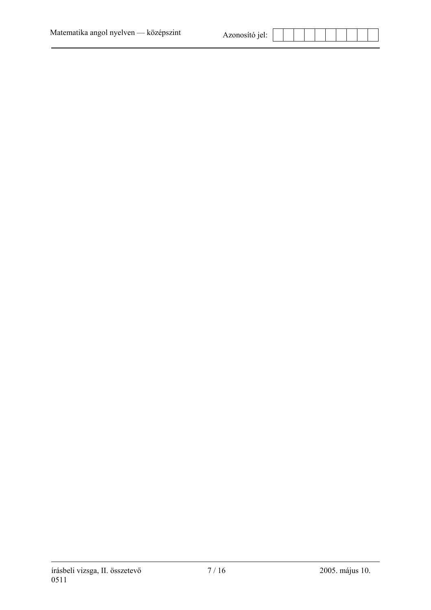| Matematika angol nyelven — középszint | Azonosító jel: |  |  |  |  |  |
|---------------------------------------|----------------|--|--|--|--|--|
|                                       |                |  |  |  |  |  |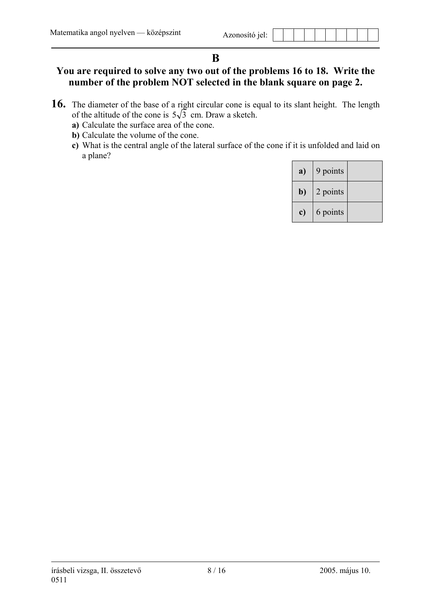#### **B**

#### **You are required to solve any two out of the problems 16 to 18. Write the number of the problem NOT selected in the blank square on page 2.**

- **16.** The diameter of the base of a right circular cone is equal to its slant height. The length of the altitude of the cone is  $5\sqrt{3}$  cm. Draw a sketch.
	- **a)** Calculate the surface area of the cone.
	- **b)** Calculate the volume of the cone.
	- **c)** What is the central angle of the lateral surface of the cone if it is unfolded and laid on a plane?

| a)            | 9 points |  |
|---------------|----------|--|
| b)            | 2 points |  |
| $\mathbf{c})$ | 6 points |  |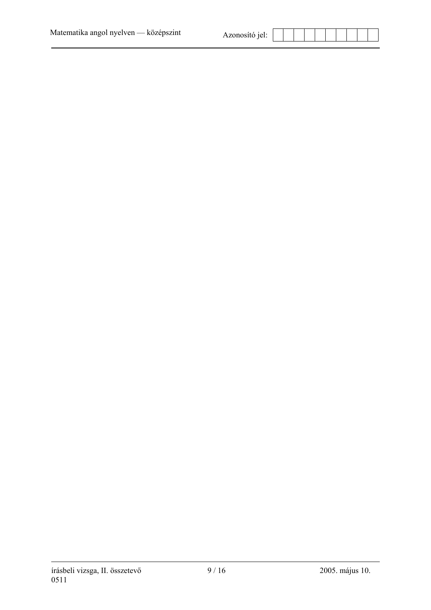| Matematika angol nyelven — középszint | Azonosító jel: |  |  |  |  |  |
|---------------------------------------|----------------|--|--|--|--|--|
|                                       |                |  |  |  |  |  |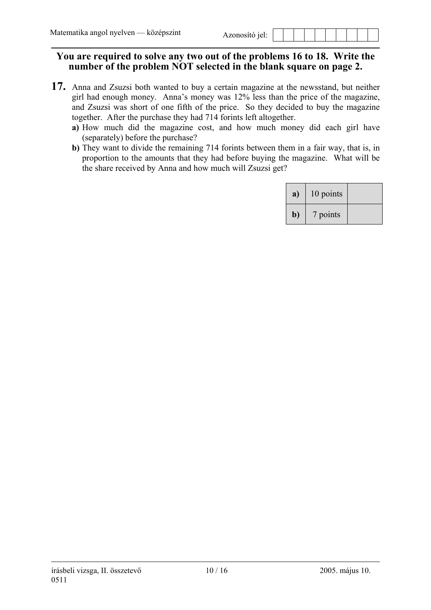#### **You are required to solve any two out of the problems 16 to 18. Write the number of the problem NOT selected in the blank square on page 2.**

- **17.** Anna and Zsuzsi both wanted to buy a certain magazine at the newsstand, but neither girl had enough money. Anna's money was 12% less than the price of the magazine, and Zsuzsi was short of one fifth of the price. So they decided to buy the magazine together. After the purchase they had 714 forints left altogether.
	- **a)** How much did the magazine cost, and how much money did each girl have (separately) before the purchase?
	- **b)** They want to divide the remaining 714 forints between them in a fair way, that is, in proportion to the amounts that they had before buying the magazine. What will be the share received by Anna and how much will Zsuzsi get?

| a) | 10 points |  |
|----|-----------|--|
| b) | 7 points  |  |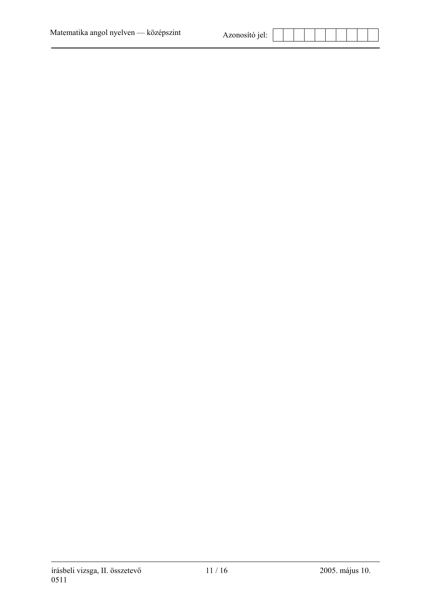| Matematika angol nyelven — középszint | Azonosító jel: |  |  |  |  |  |
|---------------------------------------|----------------|--|--|--|--|--|
|                                       |                |  |  |  |  |  |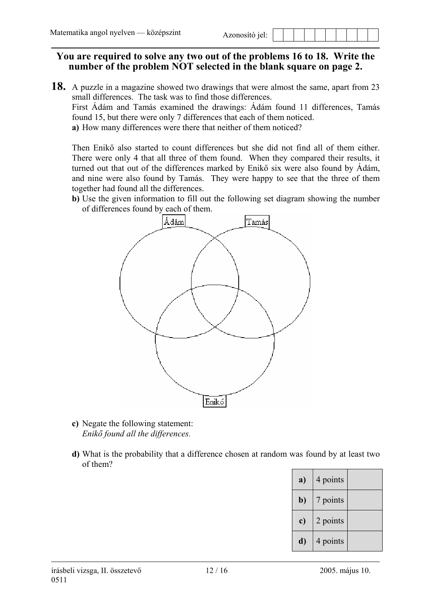#### **You are required to solve any two out of the problems 16 to 18. Write the number of the problem NOT selected in the blank square on page 2.**

**18.** A puzzle in a magazine showed two drawings that were almost the same, apart from 23 small differences. The task was to find those differences.

First Ádám and Tamás examined the drawings: Ádám found 11 differences, Tamás found 15, but there were only 7 differences that each of them noticed.

**a)** How many differences were there that neither of them noticed?

Then Enikő also started to count differences but she did not find all of them either. There were only 4 that all three of them found. When they compared their results, it turned out that out of the differences marked by Enikő six were also found by Ádám, and nine were also found by Tamás. They were happy to see that the three of them together had found all the differences.

**b**) Use the given information to fill out the following set diagram showing the number of differences found by each of them.



- **c)** Negate the following statement: *Enikő found all the differences.*
- **d)** What is the probability that a difference chosen at random was found by at least two of them?

| a) | 4 points |  |
|----|----------|--|
| b) | 7 points |  |
| c) | 2 points |  |
| d) | 4 points |  |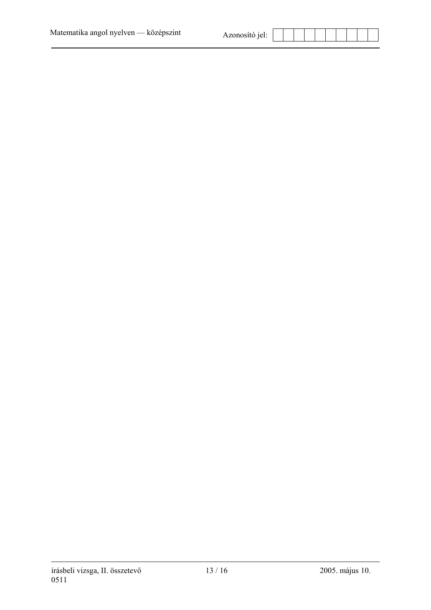| Matematika angol nyelven — középszint | Azonosító jel: |  |  |  |  |  |
|---------------------------------------|----------------|--|--|--|--|--|
|                                       |                |  |  |  |  |  |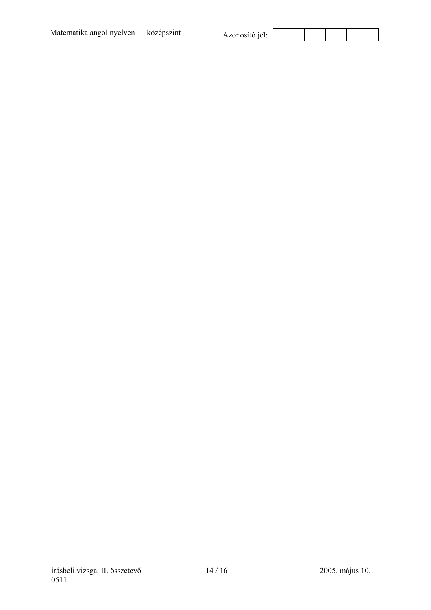| Matematika angol nyelven — középszint | Azonosító jel: |  |  |  |  |  |
|---------------------------------------|----------------|--|--|--|--|--|
|                                       |                |  |  |  |  |  |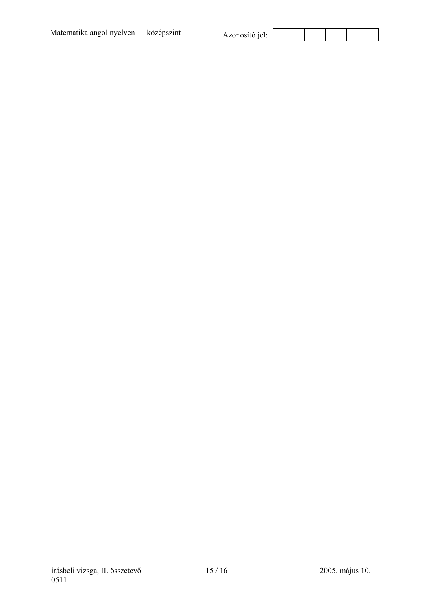| Matematika angol nyelven — középszint | Azonosító jel: |  |  |  |  |  |
|---------------------------------------|----------------|--|--|--|--|--|
|                                       |                |  |  |  |  |  |